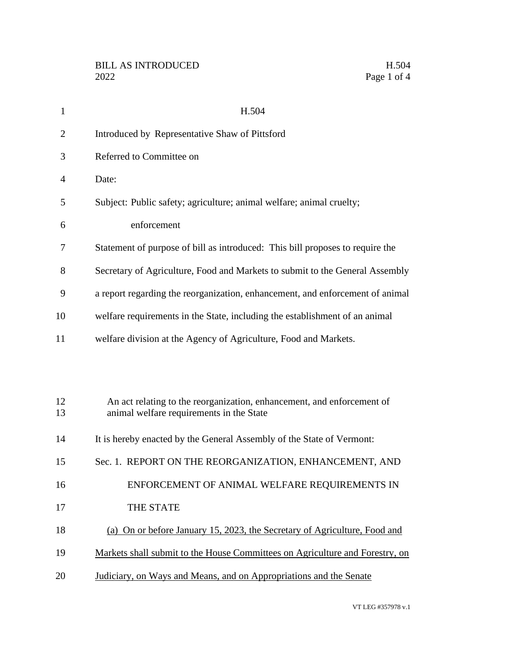| $\mathbf{1}$   | H.504                                                                                                              |
|----------------|--------------------------------------------------------------------------------------------------------------------|
| $\overline{2}$ | Introduced by Representative Shaw of Pittsford                                                                     |
| 3              | Referred to Committee on                                                                                           |
| $\overline{4}$ | Date:                                                                                                              |
| 5              | Subject: Public safety; agriculture; animal welfare; animal cruelty;                                               |
| 6              | enforcement                                                                                                        |
| 7              | Statement of purpose of bill as introduced: This bill proposes to require the                                      |
| 8              | Secretary of Agriculture, Food and Markets to submit to the General Assembly                                       |
| 9              | a report regarding the reorganization, enhancement, and enforcement of animal                                      |
| 10             | welfare requirements in the State, including the establishment of an animal                                        |
| 11             | welfare division at the Agency of Agriculture, Food and Markets.                                                   |
|                |                                                                                                                    |
|                |                                                                                                                    |
| 12<br>13       | An act relating to the reorganization, enhancement, and enforcement of<br>animal welfare requirements in the State |
| 14             | It is hereby enacted by the General Assembly of the State of Vermont:                                              |
|                |                                                                                                                    |
| 15             | Sec. 1. REPORT ON THE REORGANIZATION, ENHANCEMENT, AND                                                             |
| 16             | ENFORCEMENT OF ANIMAL WELFARE REQUIREMENTS IN                                                                      |
| 17             | THE STATE                                                                                                          |
| 18             | (a) On or before January 15, 2023, the Secretary of Agriculture, Food and                                          |
| 19             | Markets shall submit to the House Committees on Agriculture and Forestry, on                                       |
| 20             | Judiciary, on Ways and Means, and on Appropriations and the Senate                                                 |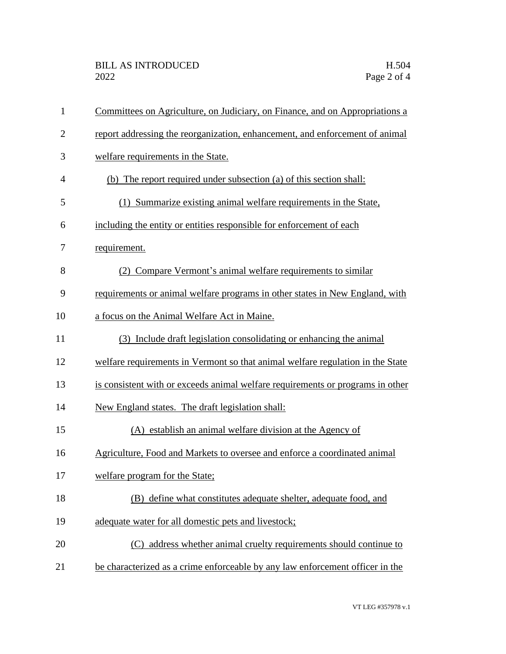| $\mathbf{1}$   | Committees on Agriculture, on Judiciary, on Finance, and on Appropriations a   |
|----------------|--------------------------------------------------------------------------------|
| $\mathbf{2}$   | report addressing the reorganization, enhancement, and enforcement of animal   |
| 3              | welfare requirements in the State.                                             |
| $\overline{4}$ | (b) The report required under subsection (a) of this section shall:            |
| 5              | (1) Summarize existing animal welfare requirements in the State,               |
| 6              | including the entity or entities responsible for enforcement of each           |
| 7              | requirement.                                                                   |
| 8              | (2) Compare Vermont's animal welfare requirements to similar                   |
| 9              | requirements or animal welfare programs in other states in New England, with   |
| 10             | a focus on the Animal Welfare Act in Maine.                                    |
| 11             | (3) Include draft legislation consolidating or enhancing the animal            |
| 12             | welfare requirements in Vermont so that animal welfare regulation in the State |
| 13             | is consistent with or exceeds animal welfare requirements or programs in other |
| 14             | New England states. The draft legislation shall:                               |
| 15             | (A) establish an animal welfare division at the Agency of                      |
| 16             | Agriculture, Food and Markets to oversee and enforce a coordinated animal      |
| 17             | welfare program for the State;                                                 |
| 18             | (B) define what constitutes adequate shelter, adequate food, and               |
| 19             | adequate water for all domestic pets and livestock;                            |
| 20             | (C) address whether animal cruelty requirements should continue to             |
| 21             | be characterized as a crime enforceable by any law enforcement officer in the  |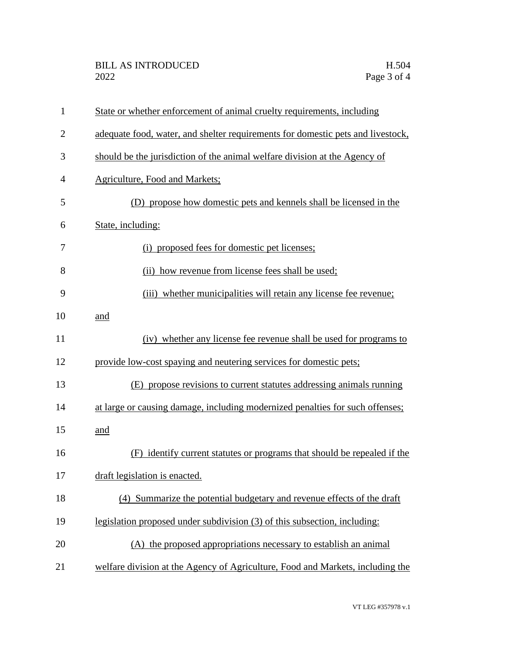| 1              | State or whether enforcement of animal cruelty requirements, including          |
|----------------|---------------------------------------------------------------------------------|
| $\overline{2}$ | adequate food, water, and shelter requirements for domestic pets and livestock, |
| 3              | should be the jurisdiction of the animal welfare division at the Agency of      |
| 4              | <b>Agriculture, Food and Markets;</b>                                           |
| 5              | (D) propose how domestic pets and kennels shall be licensed in the              |
| 6              | State, including:                                                               |
| 7              | (i) proposed fees for domestic pet licenses;                                    |
| 8              | (ii) how revenue from license fees shall be used;                               |
| 9              | (iii) whether municipalities will retain any license fee revenue;               |
| 10             | and                                                                             |
| 11             | (iv) whether any license fee revenue shall be used for programs to              |
| 12             | provide low-cost spaying and neutering services for domestic pets;              |
| 13             | (E) propose revisions to current statutes addressing animals running            |
| 14             | at large or causing damage, including modernized penalties for such offenses;   |
| 15             | and                                                                             |
| 16             | (F) identify current statutes or programs that should be repealed if the        |
| 17             | draft legislation is enacted.                                                   |
| 18             | (4) Summarize the potential budgetary and revenue effects of the draft          |
| 19             | legislation proposed under subdivision (3) of this subsection, including:       |
| 20             | (A) the proposed appropriations necessary to establish an animal                |
| 21             | welfare division at the Agency of Agriculture, Food and Markets, including the  |